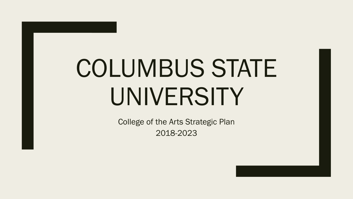# COLUMBUS STATE UNIVERSITY

College of the Arts Strategic Plan 2018-2023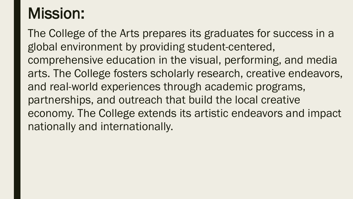# Mission:

The College of the Arts prepares its graduates for success in a global environment by providing student-centered, comprehensive education in the visual, performing, and media arts. The College fosters scholarly research, creative endeavors, and real-world experiences through academic programs, partnerships, and outreach that build the local creative economy. The College extends its artistic endeavors and impact nationally and internationally.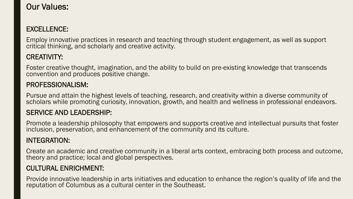# Our Values:

# EXCELLENCE:

Employ innovative practices in research and teaching through student engagement, as well as support critical thinking, and scholarly and creative activity.

# CREATIVITY:

Foster creative thought, imagination, and the ability to build on pre-existing knowledge that transcends convention and produces positive change.

# PROFESSIONALISM:

Pursue and attain the highest levels of teaching, research, and creativity within a diverse community of scholars while promoting curiosity, innovation, growth, and health and wellness in professional endeavors.

# SERVICE AND LEADERSHIP:

Promote a leadership philosophy that empowers and supports creative and intellectual pursuits that foster inclusion, preservation, and enhancement of the community and its culture.

# INTEGRATION:

Create an academic and creative community in a liberal arts context, embracing both process and outcome, theory and practice; local and global perspectives.

# CULTURAL ENRICHMENT:

Provide innovative leadership in arts initiatives and education to enhance the region's quality of life and the reputation of Columbus as a cultural center in the Southeast.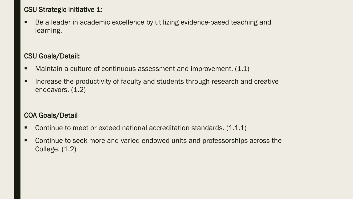# CSU Strategic Initiative 1:

■ Be a leader in academic excellence by utilizing evidence-based teaching and learning.

### CSU Goals/Detail:

- $\blacksquare$  Maintain a culture of continuous assessment and improvement.  $(1.1)$
- **Increase the productivity of faculty and students through research and creative** endeavors.  $(1.2)$

# COA Goals/Detail

- Continue to meet or exceed national accreditation standards. (1.1.1)
- **EX Continue to seek more and varied endowed units and professorships across the** College. (1.2)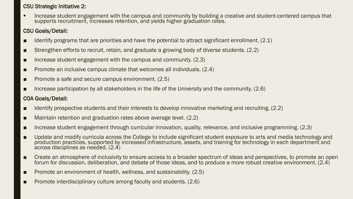#### CSU Strategic Initiative 2:

 Increase student engagement with the campus and community by building a creative and student-centered campus that supports recruitment, increases retention, and yields higher graduation rates.

#### CSU Goals/Detail:

- $\blacksquare$  Identify programs that are priorities and have the potential to attract significant enrollment. (2.1)
- Strengthen efforts to recruit, retain, and graduate a growing body of diverse students. (2.2)
- $\blacksquare$  Increase student engagement with the campus and community. (2.3)
- $\blacksquare$  Promote an inclusive campus climate that welcomes all individuals. (2.4)
- Promote a safe and secure campus environment. (2.5)
- $\blacksquare$  Increase participation by all stakeholders in the life of the University and the community. (2.6)

#### COA Goals/Detail:

- Identify prospective students and their interests to develop innovative marketing and recruiting. (2.2)
- Maintain retention and graduation rates above average level. (2.2)
- Increase student engagement through curricular innovation, quality, relevance, and inclusive programming. (2.3)
- Update and modify curricula across the College to include significant student exposure to arts and media technology and production practices, supported by increased infrastructure, assets, and training for technology in each department and across disciplines as needed. (2.4)
- Create an atmosphere of inclusivity to ensure access to a broader spectrum of ideas and perspectives, to promote an open forum for discussion, deliberation, and debate of those ideas, and to produce a more robust creative environment. (2.4)
- Promote an environment of health, wellness, and sustainability. (2.5)
- Promote interdisciplinary culture among faculty and students. (2.6)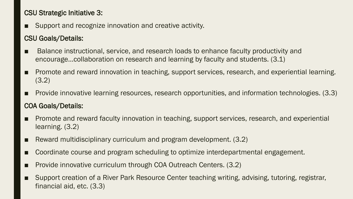# CSU Strategic Initiative 3:

■ Support and recognize innovation and creative activity.

# CSU Goals/Details:

- Balance instructional, service, and research loads to enhance faculty productivity and encourage…collaboration on research and learning by faculty and students. (3.1)
- Promote and reward innovation in teaching, support services, research, and experiential learning. (3.2)
- Provide innovative learning resources, research opportunities, and information technologies. (3.3) COA Goals/Details:
- Promote and reward faculty innovation in teaching, support services, research, and experiential learning. (3.2)
- Reward multidisciplinary curriculum and program development. (3.2)
- Coordinate course and program scheduling to optimize interdepartmental engagement.
- Provide innovative curriculum through COA Outreach Centers. (3.2)
- Support creation of a River Park Resource Center teaching writing, advising, tutoring, registrar, financial aid, etc. (3.3)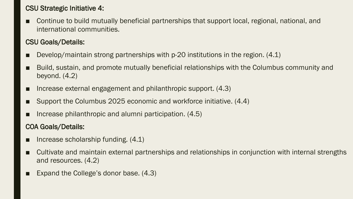# CSU Strategic Initiative 4:

Continue to build mutually beneficial partnerships that support local, regional, national, and international communities.

# CSU Goals/Details:

- Develop/maintain strong partnerships with  $p-20$  institutions in the region.  $(4.1)$
- Build, sustain, and promote mutually beneficial relationships with the Columbus community and beyond. (4.2)
- Increase external engagement and philanthropic support. (4.3)
- Support the Columbus 2025 economic and workforce initiative. (4.4)
- Increase philanthropic and alumni participation. (4.5)

# COA Goals/Details:

- Increase scholarship funding. (4.1)
- Cultivate and maintain external partnerships and relationships in conjunction with internal strengths and resources. (4.2)
- Expand the College's donor base.  $(4.3)$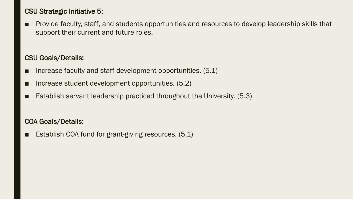# CSU Strategic Initiative 5:

■ Provide faculty, staff, and students opportunities and resources to develop leadership skills that support their current and future roles.

#### CSU Goals/Details:

- Increase faculty and staff development opportunities. (5.1)
- Increase student development opportunities. (5.2)
- Establish servant leadership practiced throughout the University. (5.3)

# COA Goals/Details:

■ Establish COA fund for grant-giving resources. (5.1)